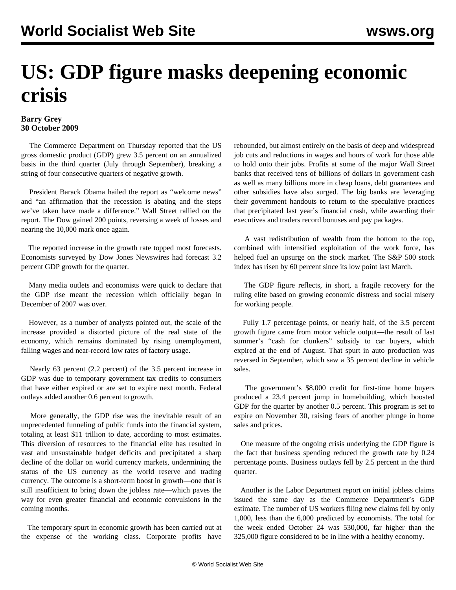## **US: GDP figure masks deepening economic crisis**

## **Barry Grey 30 October 2009**

 The Commerce Department on Thursday reported that the US gross domestic product (GDP) grew 3.5 percent on an annualized basis in the third quarter (July through September), breaking a string of four consecutive quarters of negative growth.

 President Barack Obama hailed the report as "welcome news" and "an affirmation that the recession is abating and the steps we've taken have made a difference." Wall Street rallied on the report. The Dow gained 200 points, reversing a week of losses and nearing the 10,000 mark once again.

 The reported increase in the growth rate topped most forecasts. Economists surveyed by Dow Jones Newswires had forecast 3.2 percent GDP growth for the quarter.

 Many media outlets and economists were quick to declare that the GDP rise meant the recession which officially began in December of 2007 was over.

 However, as a number of analysts pointed out, the scale of the increase provided a distorted picture of the real state of the economy, which remains dominated by rising unemployment, falling wages and near-record low rates of factory usage.

 Nearly 63 percent (2.2 percent) of the 3.5 percent increase in GDP was due to temporary government tax credits to consumers that have either expired or are set to expire next month. Federal outlays added another 0.6 percent to growth.

 More generally, the GDP rise was the inevitable result of an unprecedented funneling of public funds into the financial system, totaling at least \$11 trillion to date, according to most estimates. This diversion of resources to the financial elite has resulted in vast and unsustainable budget deficits and precipitated a sharp decline of the dollar on world currency markets, undermining the status of the US currency as the world reserve and trading currency. The outcome is a short-term boost in growth—one that is still insufficient to bring down the jobless rate—which paves the way for even greater financial and economic convulsions in the coming months.

 The temporary spurt in economic growth has been carried out at the expense of the working class. Corporate profits have

rebounded, but almost entirely on the basis of deep and widespread job cuts and reductions in wages and hours of work for those able to hold onto their jobs. Profits at some of the major Wall Street banks that received tens of billions of dollars in government cash as well as many billions more in cheap loans, debt guarantees and other subsidies have also surged. The big banks are leveraging their government handouts to return to the speculative practices that precipitated last year's financial crash, while awarding their executives and traders record bonuses and pay packages.

 A vast redistribution of wealth from the bottom to the top, combined with intensified exploitation of the work force, has helped fuel an upsurge on the stock market. The S&P 500 stock index has risen by 60 percent since its low point last March.

 The GDP figure reflects, in short, a fragile recovery for the ruling elite based on growing economic distress and social misery for working people.

 Fully 1.7 percentage points, or nearly half, of the 3.5 percent growth figure came from motor vehicle output—the result of last summer's "cash for clunkers" subsidy to car buyers, which expired at the end of August. That spurt in auto production was reversed in September, which saw a 35 percent decline in vehicle sales.

 The government's \$8,000 credit for first-time home buyers produced a 23.4 percent jump in homebuilding, which boosted GDP for the quarter by another 0.5 percent. This program is set to expire on November 30, raising fears of another plunge in home sales and prices.

 One measure of the ongoing crisis underlying the GDP figure is the fact that business spending reduced the growth rate by 0.24 percentage points. Business outlays fell by 2.5 percent in the third quarter.

 Another is the Labor Department report on initial jobless claims issued the same day as the Commerce Department's GDP estimate. The number of US workers filing new claims fell by only 1,000, less than the 6,000 predicted by economists. The total for the week ended October 24 was 530,000, far higher than the 325,000 figure considered to be in line with a healthy economy.